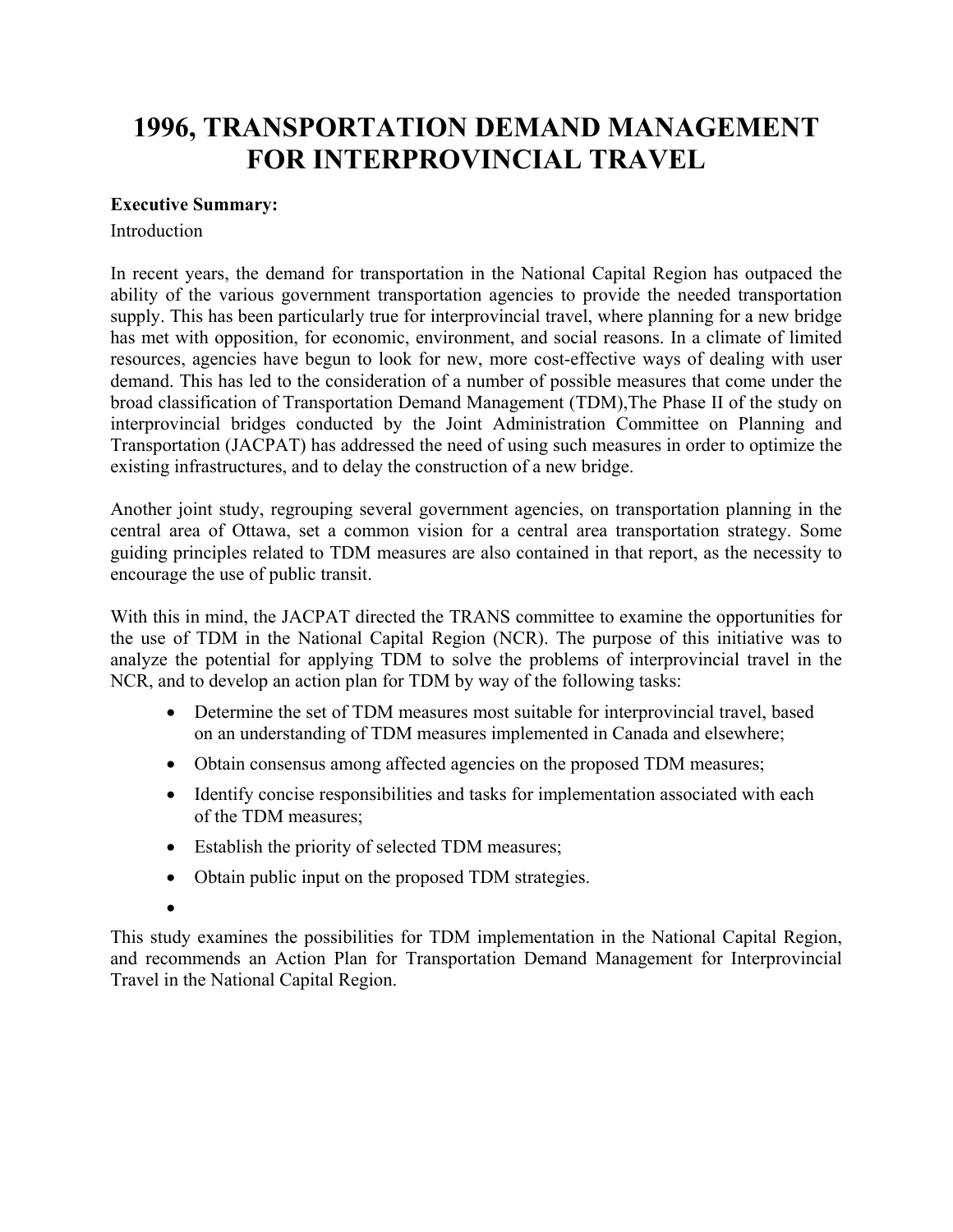# **1996, TRANSPORTATION DEMAND MANAGEMENT FOR INTERPROVINCIAL TRAVEL**

# **Executive Summary:**

### **Introduction**

In recent years, the demand for transportation in the National Capital Region has outpaced the ability of the various government transportation agencies to provide the needed transportation supply. This has been particularly true for interprovincial travel, where planning for a new bridge has met with opposition, for economic, environment, and social reasons. In a climate of limited resources, agencies have begun to look for new, more cost-effective ways of dealing with user demand. This has led to the consideration of a number of possible measures that come under the broad classification of Transportation Demand Management (TDM),The Phase II of the study on interprovincial bridges conducted by the Joint Administration Committee on Planning and Transportation (JACPAT) has addressed the need of using such measures in order to optimize the existing infrastructures, and to delay the construction of a new bridge.

Another joint study, regrouping several government agencies, on transportation planning in the central area of Ottawa, set a common vision for a central area transportation strategy. Some guiding principles related to TDM measures are also contained in that report, as the necessity to encourage the use of public transit.

With this in mind, the JACPAT directed the TRANS committee to examine the opportunities for the use of TDM in the National Capital Region (NCR). The purpose of this initiative was to analyze the potential for applying TDM to solve the problems of interprovincial travel in the NCR, and to develop an action plan for TDM by way of the following tasks:

- Determine the set of TDM measures most suitable for interprovincial travel, based on an understanding of TDM measures implemented in Canada and elsewhere;
- Obtain consensus among affected agencies on the proposed TDM measures;
- Identify concise responsibilities and tasks for implementation associated with each of the TDM measures;
- Establish the priority of selected TDM measures;
- Obtain public input on the proposed TDM strategies.
- •

This study examines the possibilities for TDM implementation in the National Capital Region, and recommends an Action Plan for Transportation Demand Management for Interprovincial Travel in the National Capital Region.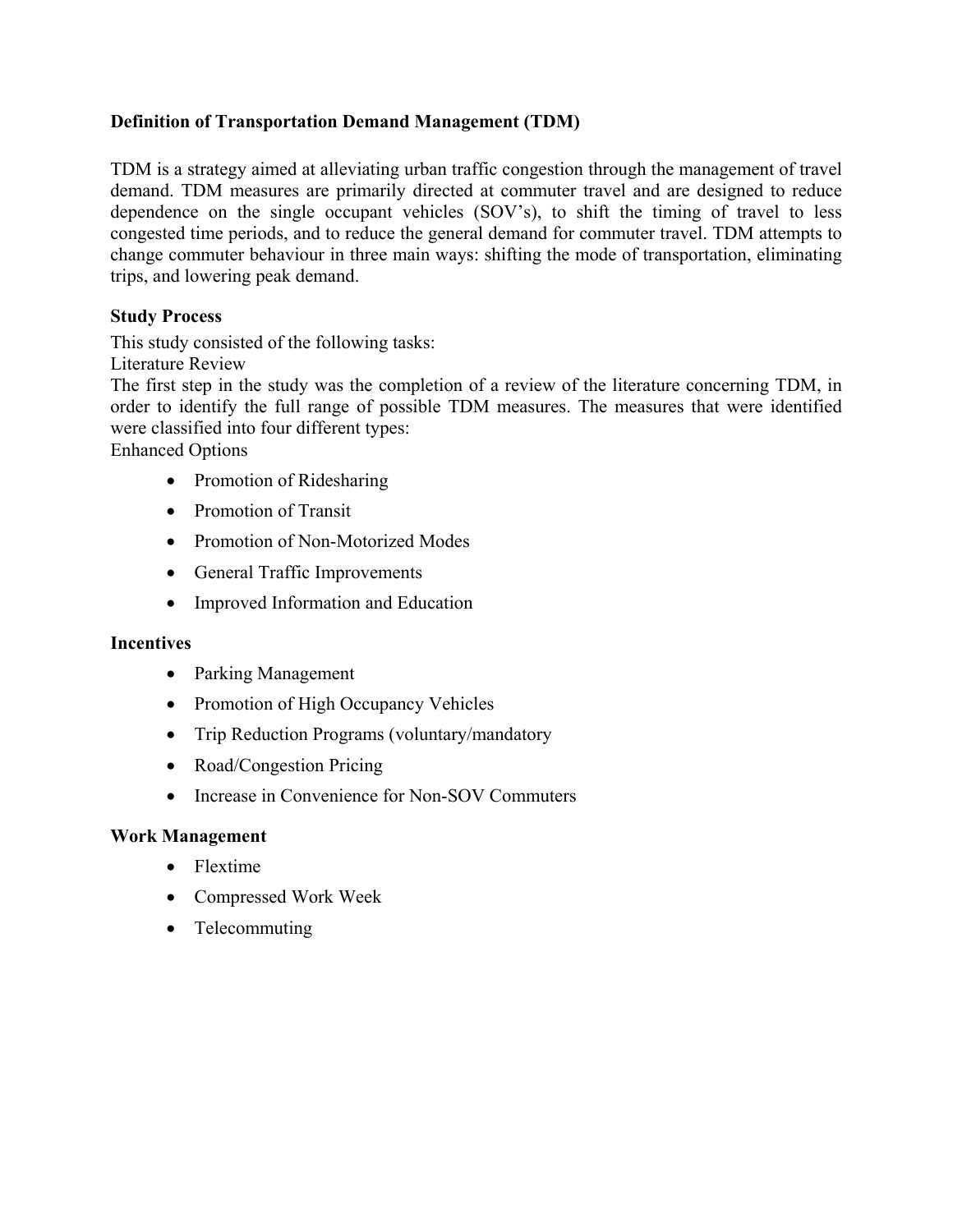# **Definition of Transportation Demand Management (TDM)**

TDM is a strategy aimed at alleviating urban traffic congestion through the management of travel demand. TDM measures are primarily directed at commuter travel and are designed to reduce dependence on the single occupant vehicles (SOV's), to shift the timing of travel to less congested time periods, and to reduce the general demand for commuter travel. TDM attempts to change commuter behaviour in three main ways: shifting the mode of transportation, eliminating trips, and lowering peak demand.

# **Study Process**

This study consisted of the following tasks:

Literature Review

The first step in the study was the completion of a review of the literature concerning TDM, in order to identify the full range of possible TDM measures. The measures that were identified were classified into four different types:

Enhanced Options

- Promotion of Ridesharing
- Promotion of Transit
- Promotion of Non-Motorized Modes
- General Traffic Improvements
- Improved Information and Education

### **Incentives**

- Parking Management
- Promotion of High Occupancy Vehicles
- Trip Reduction Programs (voluntary/mandatory
- Road/Congestion Pricing
- Increase in Convenience for Non-SOV Commuters

### **Work Management**

- Flextime
- Compressed Work Week
- Telecommuting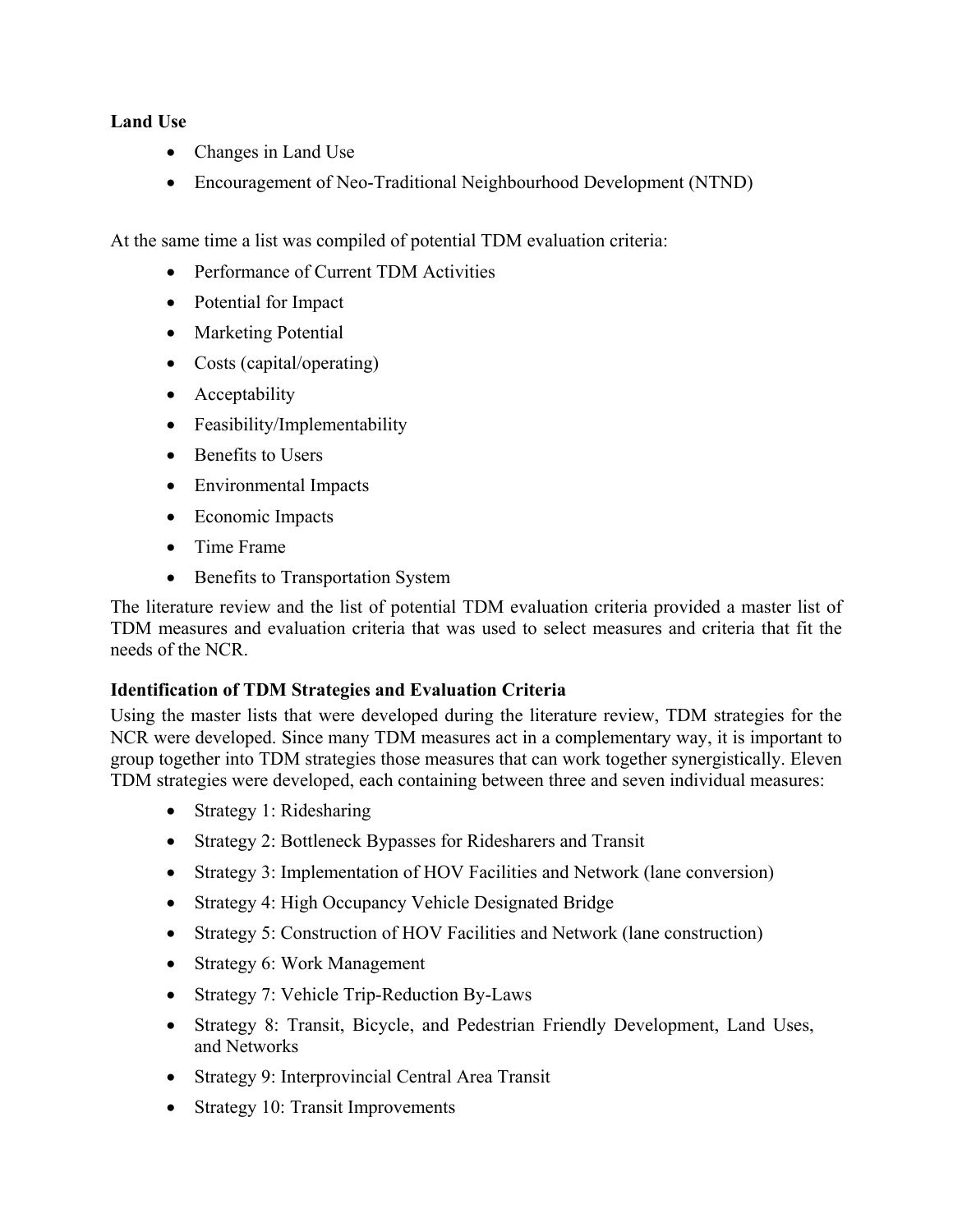### **Land Use**

- Changes in Land Use
- Encouragement of Neo-Traditional Neighbourhood Development (NTND)

At the same time a list was compiled of potential TDM evaluation criteria:

- Performance of Current TDM Activities
- Potential for Impact
- Marketing Potential
- Costs (capital/operating)
- Acceptability
- Feasibility/Implementability
- Benefits to Users
- Environmental Impacts
- Economic Impacts
- Time Frame
- Benefits to Transportation System

The literature review and the list of potential TDM evaluation criteria provided a master list of TDM measures and evaluation criteria that was used to select measures and criteria that fit the needs of the NCR.

### **Identification of TDM Strategies and Evaluation Criteria**

Using the master lists that were developed during the literature review, TDM strategies for the NCR were developed. Since many TDM measures act in a complementary way, it is important to group together into TDM strategies those measures that can work together synergistically. Eleven TDM strategies were developed, each containing between three and seven individual measures:

- Strategy 1: Ridesharing
- Strategy 2: Bottleneck Bypasses for Ridesharers and Transit
- Strategy 3: Implementation of HOV Facilities and Network (lane conversion)
- Strategy 4: High Occupancy Vehicle Designated Bridge
- Strategy 5: Construction of HOV Facilities and Network (lane construction)
- Strategy 6: Work Management
- Strategy 7: Vehicle Trip-Reduction By-Laws
- Strategy 8: Transit, Bicycle, and Pedestrian Friendly Development, Land Uses, and Networks
- Strategy 9: Interprovincial Central Area Transit
- Strategy 10: Transit Improvements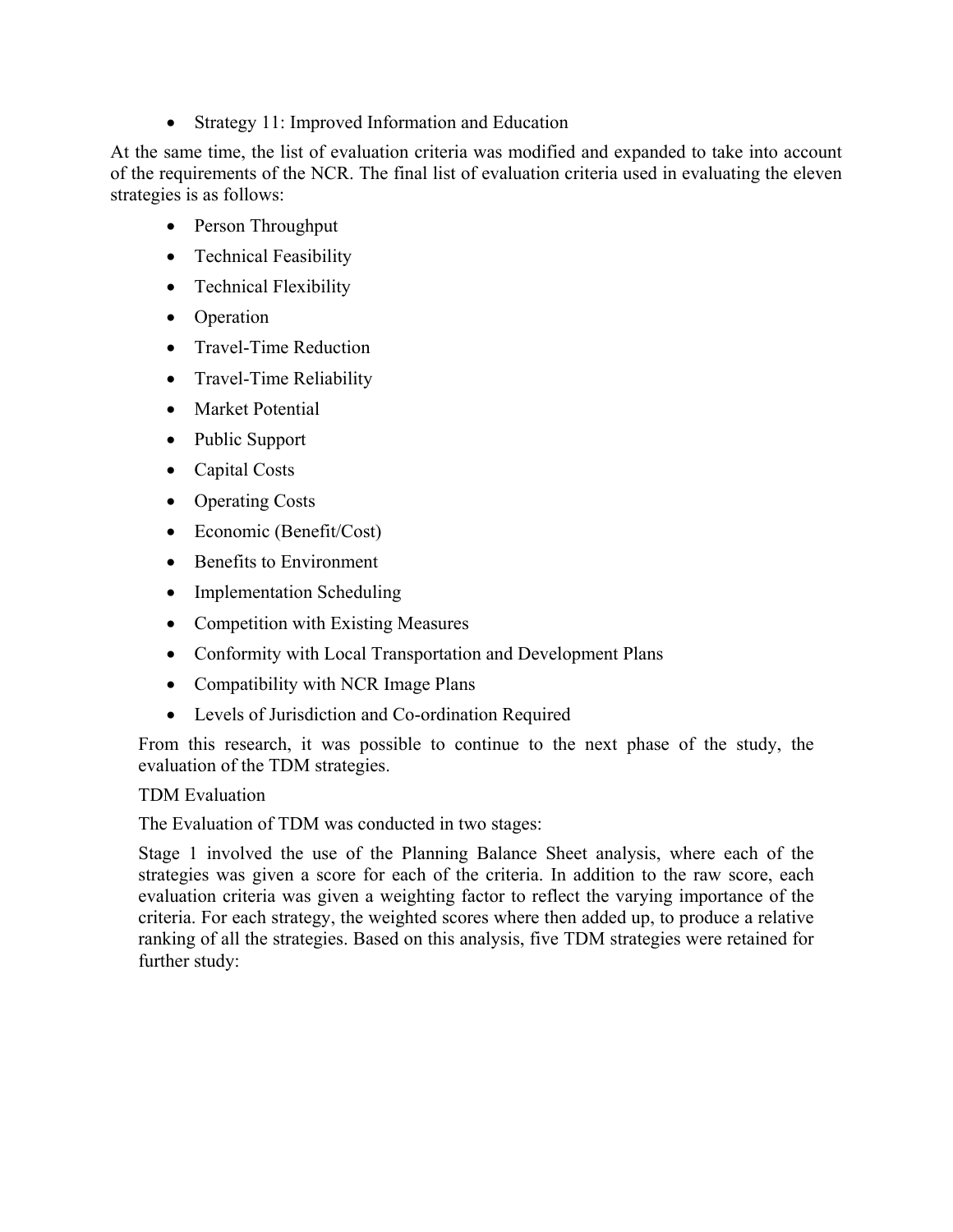• Strategy 11: Improved Information and Education

At the same time, the list of evaluation criteria was modified and expanded to take into account of the requirements of the NCR. The final list of evaluation criteria used in evaluating the eleven strategies is as follows:

- Person Throughput
- Technical Feasibility
- Technical Flexibility
- Operation
- Travel-Time Reduction
- Travel-Time Reliability
- Market Potential
- Public Support
- Capital Costs
- Operating Costs
- Economic (Benefit/Cost)
- Benefits to Environment
- Implementation Scheduling
- Competition with Existing Measures
- Conformity with Local Transportation and Development Plans
- Compatibility with NCR Image Plans
- Levels of Jurisdiction and Co-ordination Required

From this research, it was possible to continue to the next phase of the study, the evaluation of the TDM strategies.

TDM Evaluation

The Evaluation of TDM was conducted in two stages:

Stage 1 involved the use of the Planning Balance Sheet analysis, where each of the strategies was given a score for each of the criteria. In addition to the raw score, each evaluation criteria was given a weighting factor to reflect the varying importance of the criteria. For each strategy, the weighted scores where then added up, to produce a relative ranking of all the strategies. Based on this analysis, five TDM strategies were retained for further study: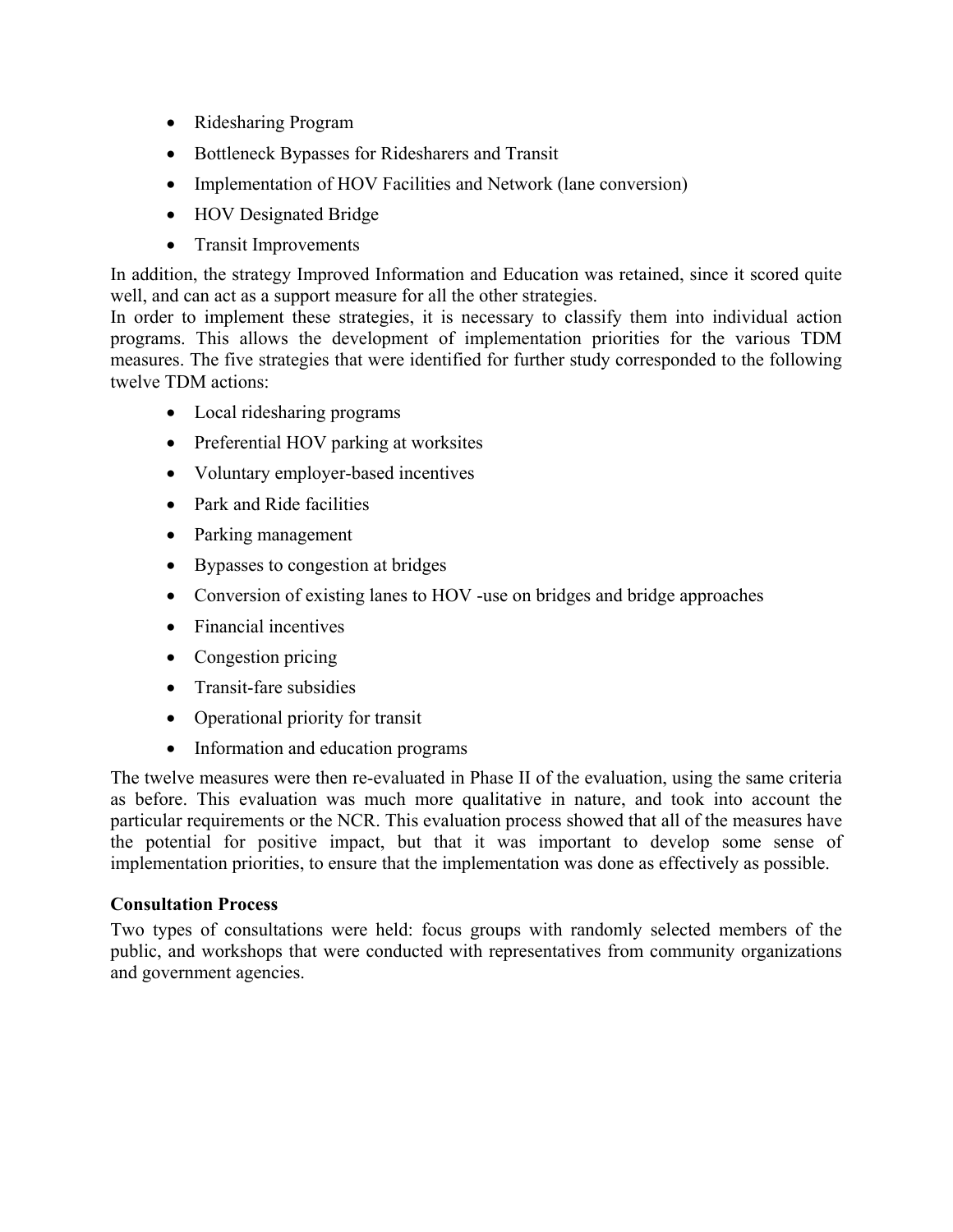- Ridesharing Program
- Bottleneck Bypasses for Ridesharers and Transit
- Implementation of HOV Facilities and Network (lane conversion)
- HOV Designated Bridge
- Transit Improvements

In addition, the strategy Improved Information and Education was retained, since it scored quite well, and can act as a support measure for all the other strategies.

In order to implement these strategies, it is necessary to classify them into individual action programs. This allows the development of implementation priorities for the various TDM measures. The five strategies that were identified for further study corresponded to the following twelve TDM actions:

- Local ridesharing programs
- Preferential HOV parking at worksites
- Voluntary employer-based incentives
- Park and Ride facilities
- Parking management
- Bypasses to congestion at bridges
- Conversion of existing lanes to HOV -use on bridges and bridge approaches
- Financial incentives
- Congestion pricing
- Transit-fare subsidies
- Operational priority for transit
- Information and education programs

The twelve measures were then re-evaluated in Phase II of the evaluation, using the same criteria as before. This evaluation was much more qualitative in nature, and took into account the particular requirements or the NCR. This evaluation process showed that all of the measures have the potential for positive impact, but that it was important to develop some sense of implementation priorities, to ensure that the implementation was done as effectively as possible.

### **Consultation Process**

Two types of consultations were held: focus groups with randomly selected members of the public, and workshops that were conducted with representatives from community organizations and government agencies.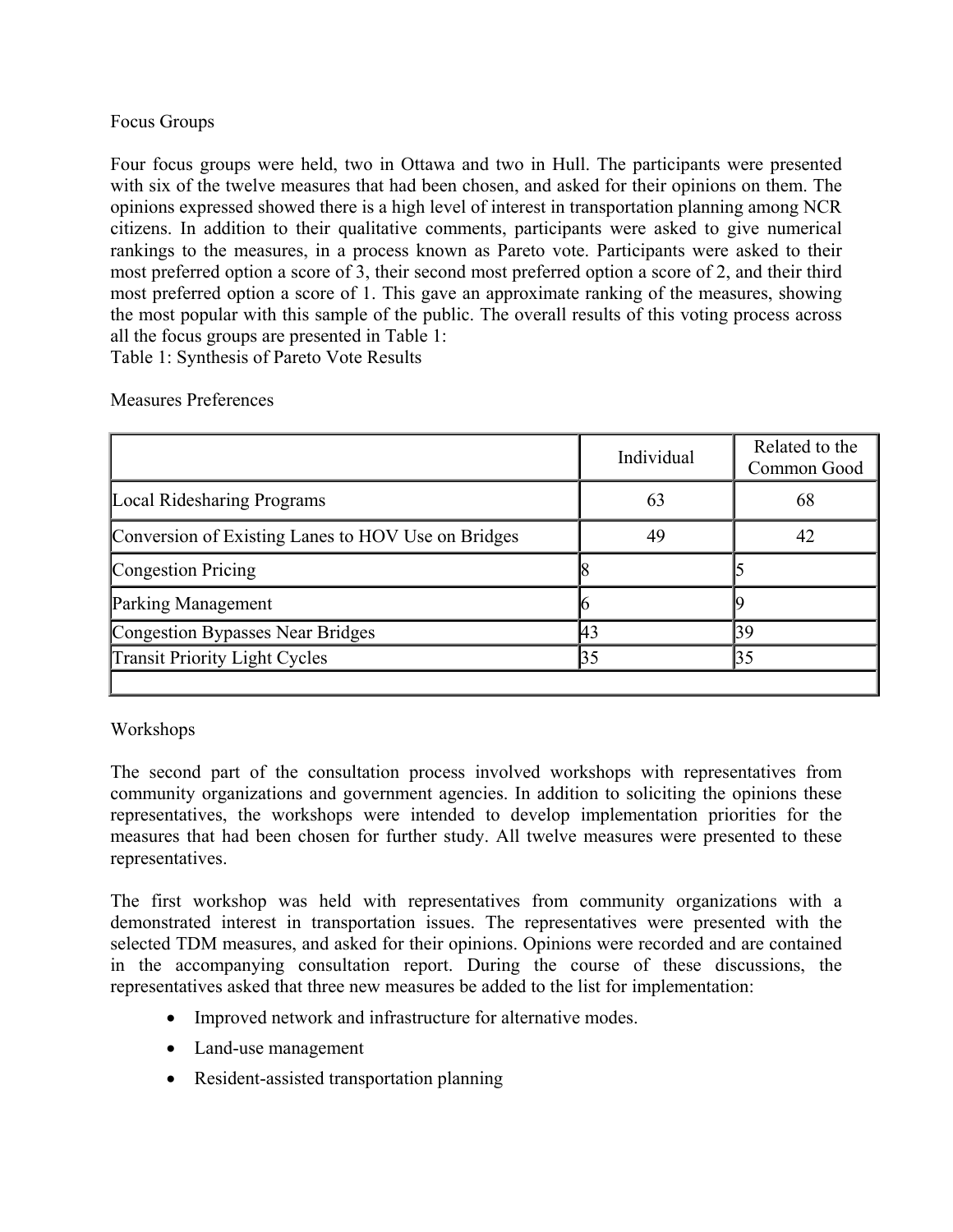### Focus Groups

Four focus groups were held, two in Ottawa and two in Hull. The participants were presented with six of the twelve measures that had been chosen, and asked for their opinions on them. The opinions expressed showed there is a high level of interest in transportation planning among NCR citizens. In addition to their qualitative comments, participants were asked to give numerical rankings to the measures, in a process known as Pareto vote. Participants were asked to their most preferred option a score of 3, their second most preferred option a score of 2, and their third most preferred option a score of 1. This gave an approximate ranking of the measures, showing the most popular with this sample of the public. The overall results of this voting process across all the focus groups are presented in Table 1:

Table 1: Synthesis of Pareto Vote Results

|                                                    | Individual | Related to the<br>Common Good |
|----------------------------------------------------|------------|-------------------------------|
| Local Ridesharing Programs                         | 63         | 68                            |
| Conversion of Existing Lanes to HOV Use on Bridges | 49         | 42                            |
| Congestion Pricing                                 |            |                               |
| <b>Parking Management</b>                          |            |                               |
| Congestion Bypasses Near Bridges                   | 43         | 39                            |
| <b>Transit Priority Light Cycles</b>               | 35         | 35                            |
|                                                    |            |                               |

### Measures Preferences

# Workshops

The second part of the consultation process involved workshops with representatives from community organizations and government agencies. In addition to soliciting the opinions these representatives, the workshops were intended to develop implementation priorities for the measures that had been chosen for further study. All twelve measures were presented to these representatives.

The first workshop was held with representatives from community organizations with a demonstrated interest in transportation issues. The representatives were presented with the selected TDM measures, and asked for their opinions. Opinions were recorded and are contained in the accompanying consultation report. During the course of these discussions, the representatives asked that three new measures be added to the list for implementation:

- Improved network and infrastructure for alternative modes.
- Land-use management
- Resident-assisted transportation planning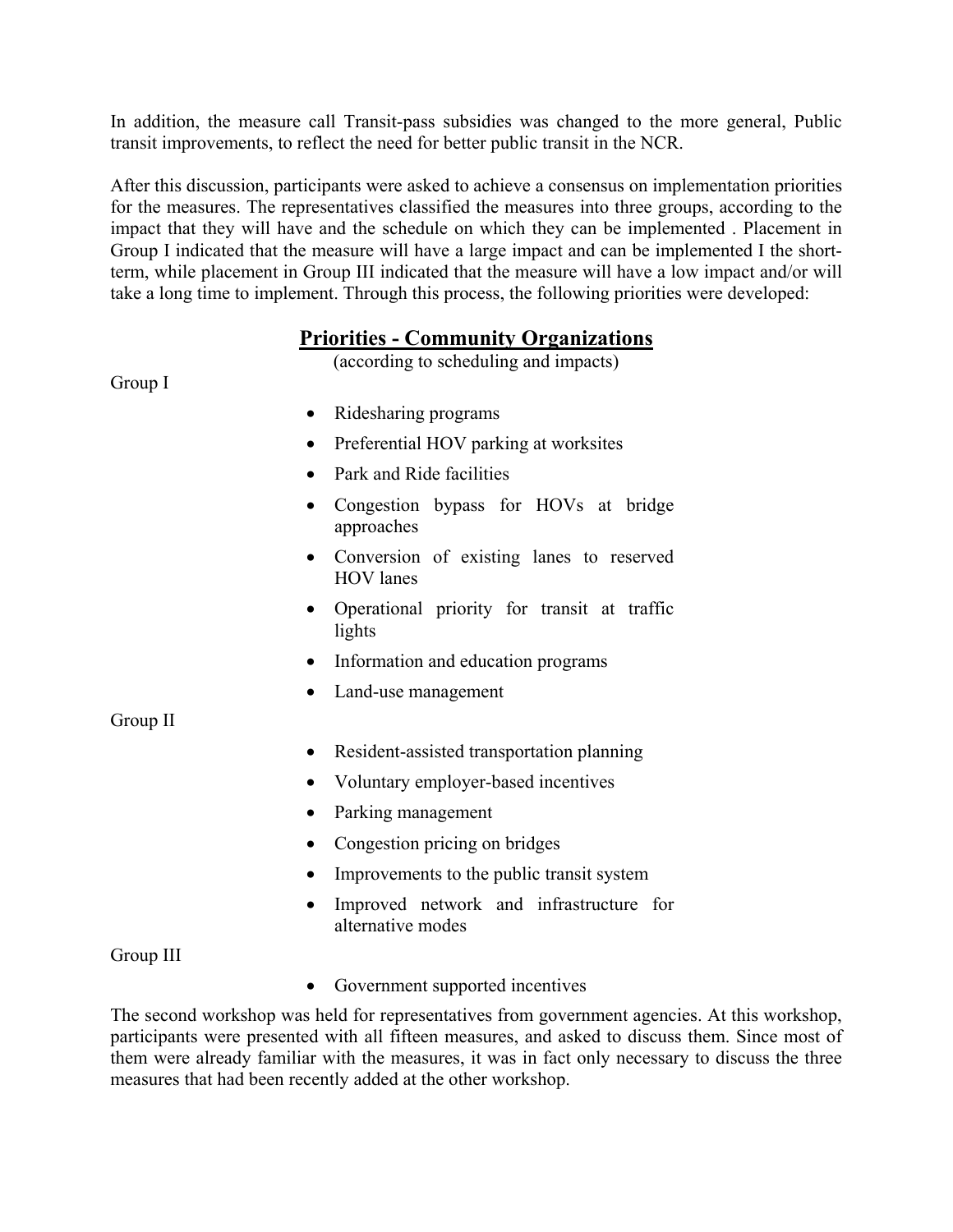In addition, the measure call Transit-pass subsidies was changed to the more general, Public transit improvements, to reflect the need for better public transit in the NCR.

After this discussion, participants were asked to achieve a consensus on implementation priorities for the measures. The representatives classified the measures into three groups, according to the impact that they will have and the schedule on which they can be implemented . Placement in Group I indicated that the measure will have a large impact and can be implemented I the shortterm, while placement in Group III indicated that the measure will have a low impact and/or will take a long time to implement. Through this process, the following priorities were developed:

# **Priorities - Community Organizations**

(according to scheduling and impacts)

Group I

- Ridesharing programs
- Preferential HOV parking at worksites
- Park and Ride facilities
- Congestion bypass for HOVs at bridge approaches
- Conversion of existing lanes to reserved HOV lanes
- Operational priority for transit at traffic lights
- Information and education programs
- Land-use management

Group II

- Resident-assisted transportation planning
- Voluntary employer-based incentives
- Parking management
- Congestion pricing on bridges
- Improvements to the public transit system
- Improved network and infrastructure for alternative modes

Group III

• Government supported incentives

The second workshop was held for representatives from government agencies. At this workshop, participants were presented with all fifteen measures, and asked to discuss them. Since most of them were already familiar with the measures, it was in fact only necessary to discuss the three measures that had been recently added at the other workshop.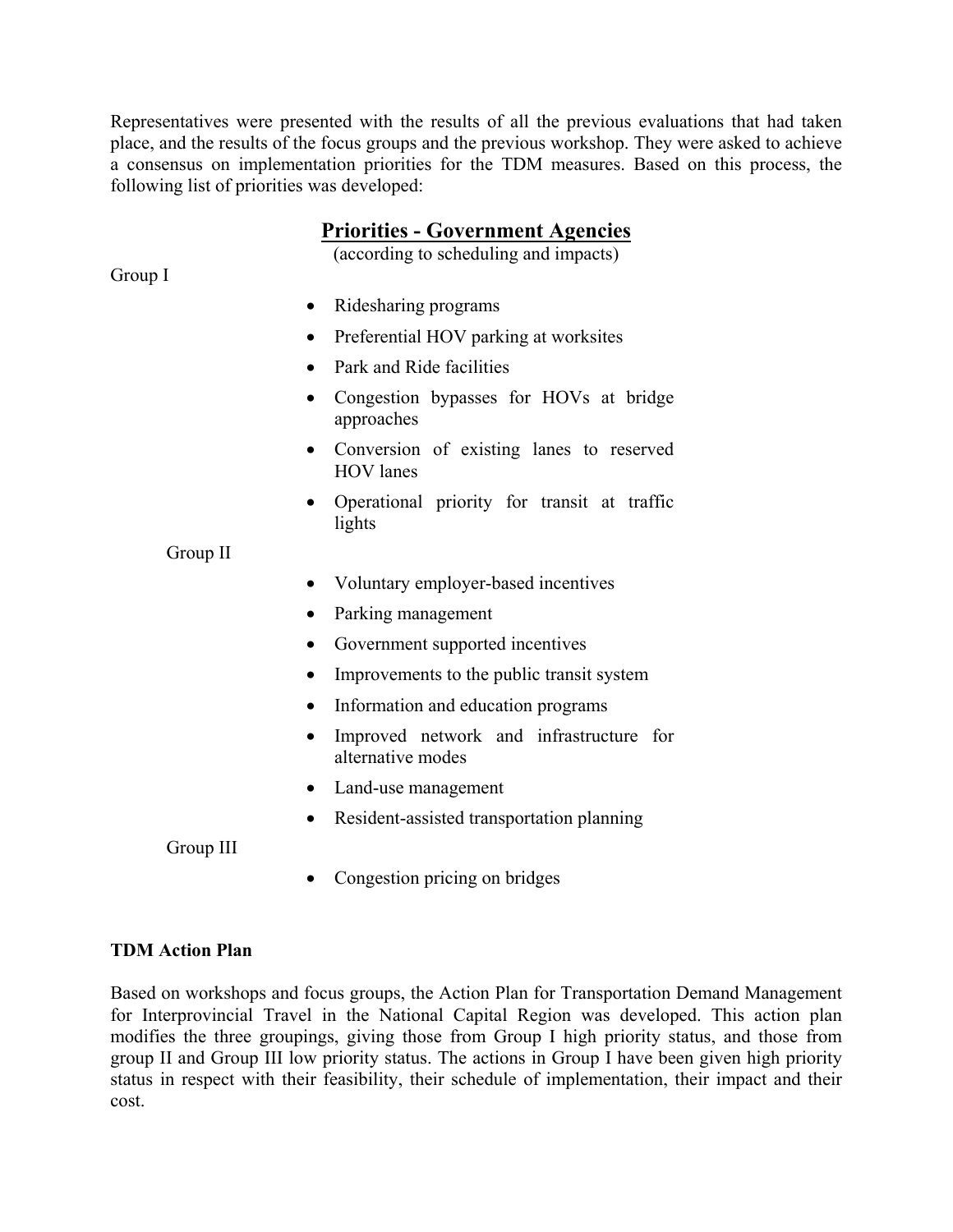Representatives were presented with the results of all the previous evaluations that had taken place, and the results of the focus groups and the previous workshop. They were asked to achieve a consensus on implementation priorities for the TDM measures. Based on this process, the following list of priorities was developed:

# **Priorities - Government Agencies**

(according to scheduling and impacts)

- Ridesharing programs
- Preferential HOV parking at worksites
- Park and Ride facilities
- Congestion bypasses for HOVs at bridge approaches
- Conversion of existing lanes to reserved HOV lanes
- Operational priority for transit at traffic lights

Group II

- Voluntary employer-based incentives
- Parking management
- Government supported incentives
- Improvements to the public transit system
- Information and education programs
- Improved network and infrastructure for alternative modes
- Land-use management
- Resident-assisted transportation planning

Group III

• Congestion pricing on bridges

### **TDM Action Plan**

Based on workshops and focus groups, the Action Plan for Transportation Demand Management for Interprovincial Travel in the National Capital Region was developed. This action plan modifies the three groupings, giving those from Group I high priority status, and those from group II and Group III low priority status. The actions in Group I have been given high priority status in respect with their feasibility, their schedule of implementation, their impact and their cost.

Group I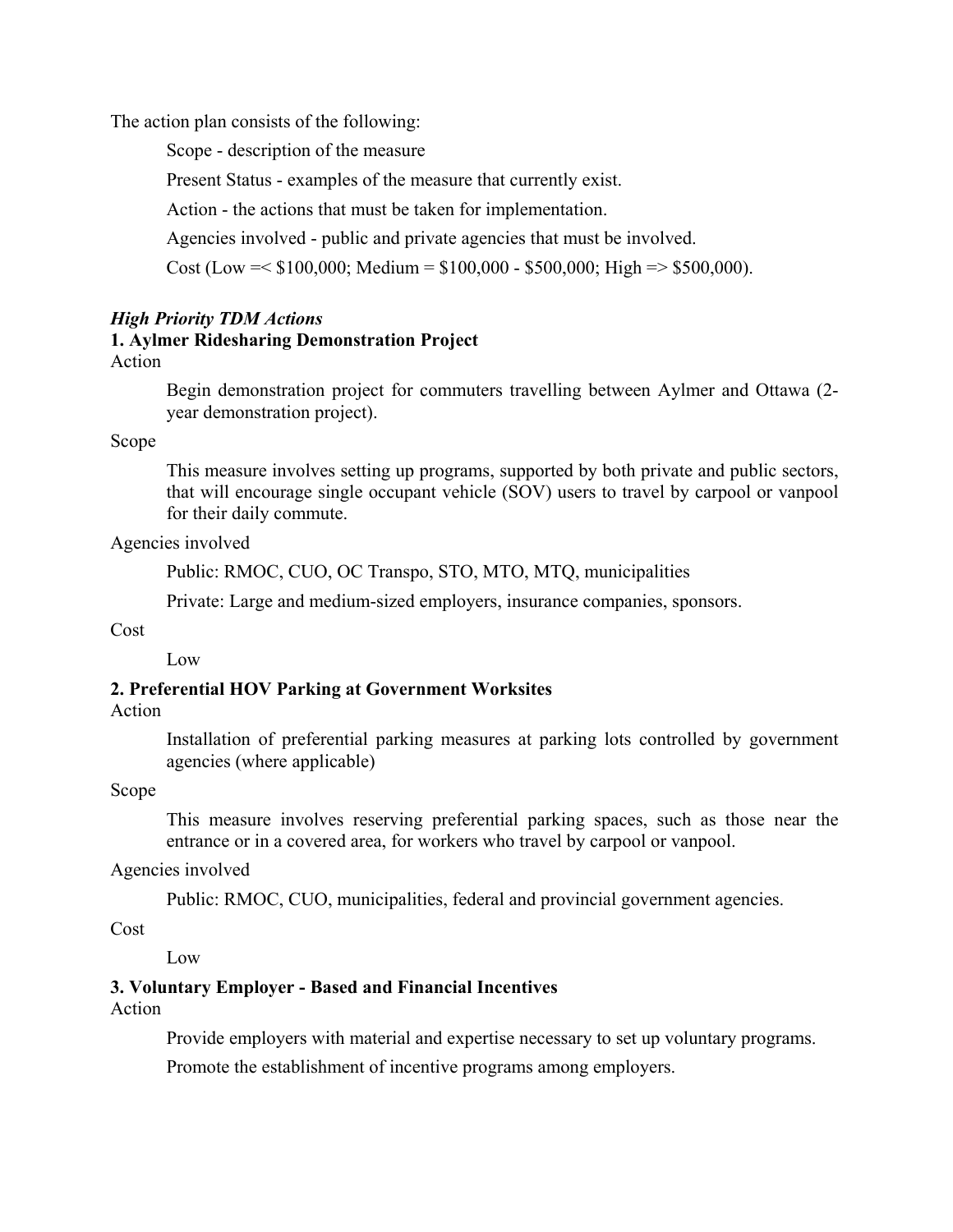The action plan consists of the following:

Scope - description of the measure

Present Status - examples of the measure that currently exist.

Action - the actions that must be taken for implementation.

Agencies involved - public and private agencies that must be involved.

Cost (Low =  $$100,000$ ; Medium = \$100,000 - \$500,000; High = > \$500,000).

### *High Priority TDM Actions*

# **1. Aylmer Ridesharing Demonstration Project**

### Action

Begin demonstration project for commuters travelling between Aylmer and Ottawa (2 year demonstration project).

Scope

This measure involves setting up programs, supported by both private and public sectors, that will encourage single occupant vehicle (SOV) users to travel by carpool or vanpool for their daily commute.

Agencies involved

Public: RMOC, CUO, OC Transpo, STO, MTO, MTQ, municipalities

Private: Large and medium-sized employers, insurance companies, sponsors.

Cost

Low

# **2. Preferential HOV Parking at Government Worksites**

### Action

Installation of preferential parking measures at parking lots controlled by government agencies (where applicable)

### Scope

This measure involves reserving preferential parking spaces, such as those near the entrance or in a covered area, for workers who travel by carpool or vanpool.

### Agencies involved

Public: RMOC, CUO, municipalities, federal and provincial government agencies.

Cost

Low

### **3. Voluntary Employer - Based and Financial Incentives**

Action

Provide employers with material and expertise necessary to set up voluntary programs.

Promote the establishment of incentive programs among employers.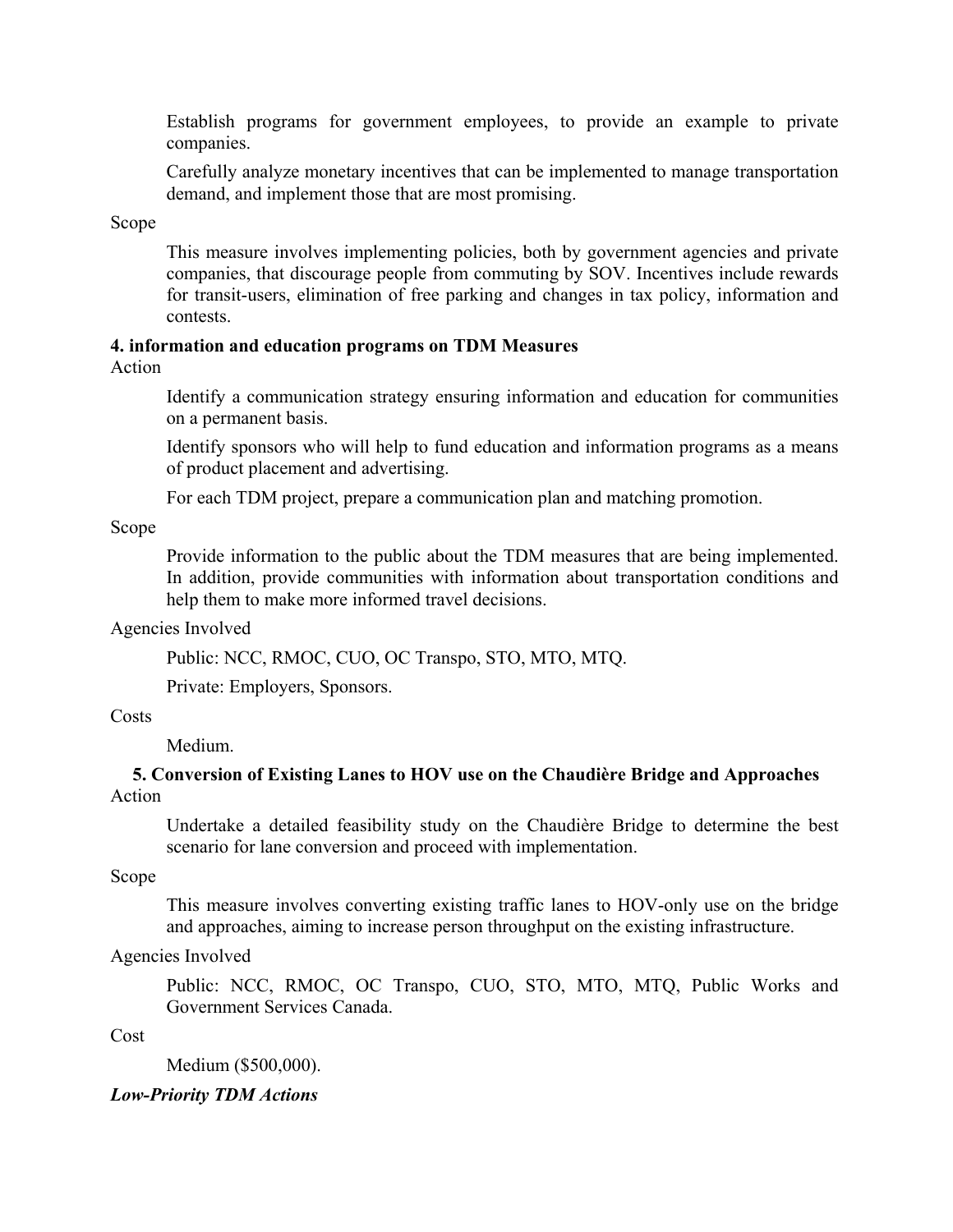Establish programs for government employees, to provide an example to private companies.

Carefully analyze monetary incentives that can be implemented to manage transportation demand, and implement those that are most promising.

Scope

This measure involves implementing policies, both by government agencies and private companies, that discourage people from commuting by SOV. Incentives include rewards for transit-users, elimination of free parking and changes in tax policy, information and contests.

# **4. information and education programs on TDM Measures**

Action

Identify a communication strategy ensuring information and education for communities on a permanent basis.

Identify sponsors who will help to fund education and information programs as a means of product placement and advertising.

For each TDM project, prepare a communication plan and matching promotion.

Scope

Provide information to the public about the TDM measures that are being implemented. In addition, provide communities with information about transportation conditions and help them to make more informed travel decisions.

Agencies Involved

Public: NCC, RMOC, CUO, OC Transpo, STO, MTO, MTQ.

Private: Employers, Sponsors.

### **Costs**

Medium.

### **5. Conversion of Existing Lanes to HOV use on the Chaudière Bridge and Approaches**  Action

Undertake a detailed feasibility study on the Chaudière Bridge to determine the best scenario for lane conversion and proceed with implementation.

Scope

This measure involves converting existing traffic lanes to HOV-only use on the bridge and approaches, aiming to increase person throughput on the existing infrastructure.

### Agencies Involved

Public: NCC, RMOC, OC Transpo, CUO, STO, MTO, MTQ, Public Works and Government Services Canada.

Cost

Medium (\$500,000).

### *Low-Priority TDM Actions*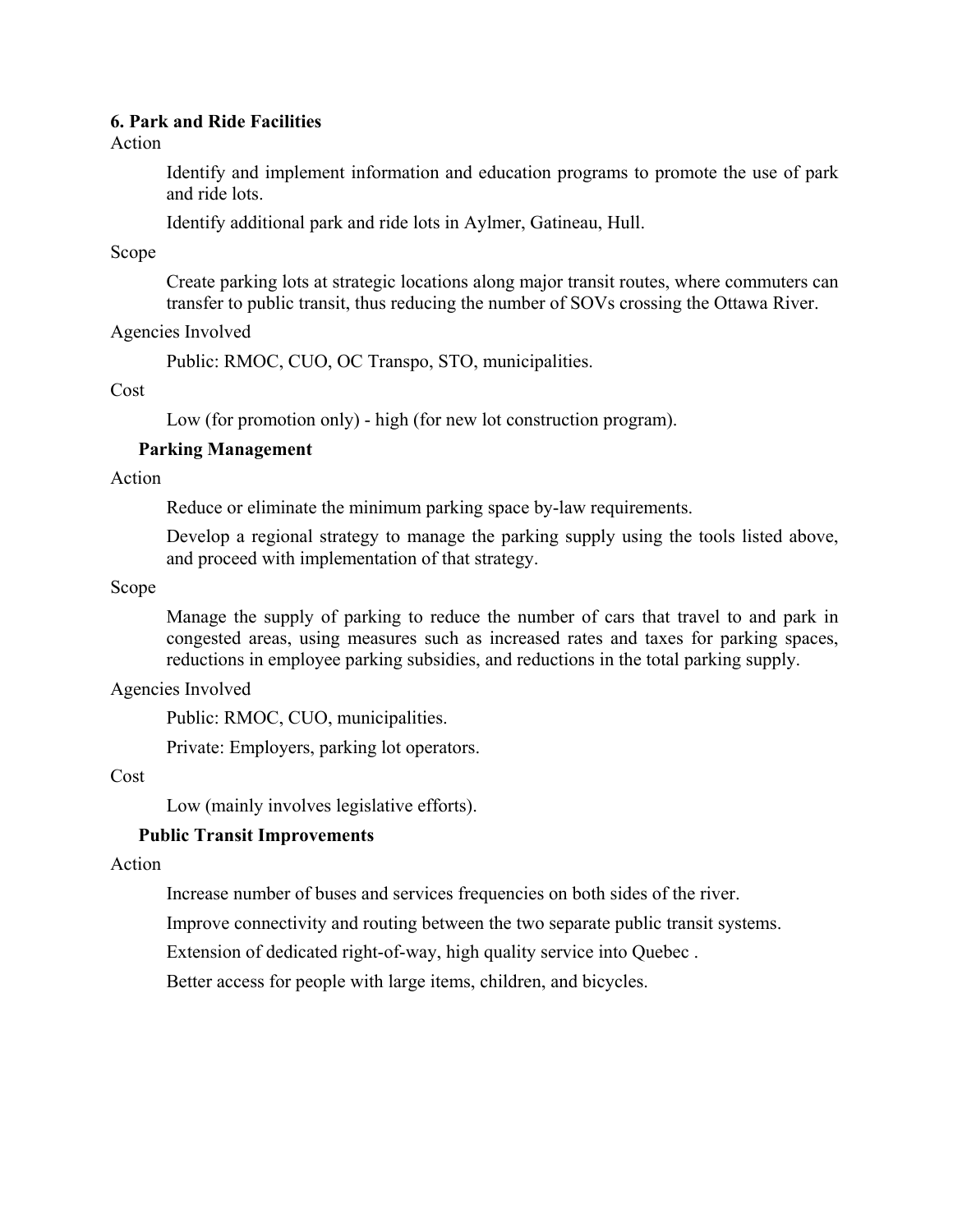### **6. Park and Ride Facilities**

Action

Identify and implement information and education programs to promote the use of park and ride lots.

Identify additional park and ride lots in Aylmer, Gatineau, Hull.

Scope

Create parking lots at strategic locations along major transit routes, where commuters can transfer to public transit, thus reducing the number of SOVs crossing the Ottawa River.

Agencies Involved

Public: RMOC, CUO, OC Transpo, STO, municipalities.

Cost

Low (for promotion only) - high (for new lot construction program).

### **Parking Management**

Action

Reduce or eliminate the minimum parking space by-law requirements.

Develop a regional strategy to manage the parking supply using the tools listed above, and proceed with implementation of that strategy.

Scope

Manage the supply of parking to reduce the number of cars that travel to and park in congested areas, using measures such as increased rates and taxes for parking spaces, reductions in employee parking subsidies, and reductions in the total parking supply.

Agencies Involved

Public: RMOC, CUO, municipalities.

Private: Employers, parking lot operators.

### Cost

Low (mainly involves legislative efforts).

### **Public Transit Improvements**

Action

Increase number of buses and services frequencies on both sides of the river.

Improve connectivity and routing between the two separate public transit systems.

Extension of dedicated right-of-way, high quality service into Quebec .

Better access for people with large items, children, and bicycles.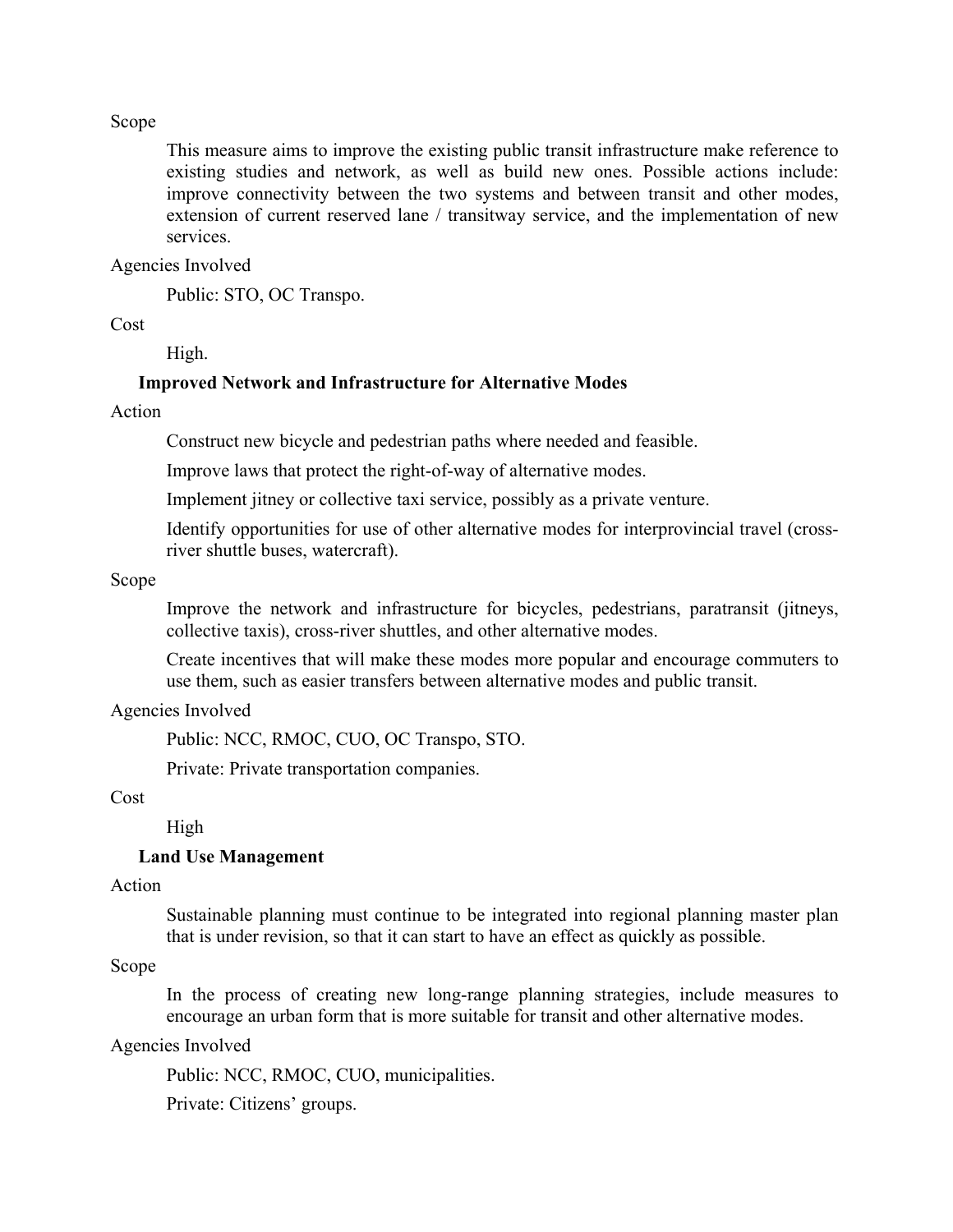#### Scope

This measure aims to improve the existing public transit infrastructure make reference to existing studies and network, as well as build new ones. Possible actions include: improve connectivity between the two systems and between transit and other modes, extension of current reserved lane / transitway service, and the implementation of new services.

#### Agencies Involved

Public: STO, OC Transpo.

#### Cost

High.

#### **Improved Network and Infrastructure for Alternative Modes**

### Action

Construct new bicycle and pedestrian paths where needed and feasible.

Improve laws that protect the right-of-way of alternative modes.

Implement jitney or collective taxi service, possibly as a private venture.

Identify opportunities for use of other alternative modes for interprovincial travel (crossriver shuttle buses, watercraft).

#### Scope

Improve the network and infrastructure for bicycles, pedestrians, paratransit (jitneys, collective taxis), cross-river shuttles, and other alternative modes.

Create incentives that will make these modes more popular and encourage commuters to use them, such as easier transfers between alternative modes and public transit.

#### Agencies Involved

Public: NCC, RMOC, CUO, OC Transpo, STO.

Private: Private transportation companies.

### Cost

High

#### **Land Use Management**

#### Action

Sustainable planning must continue to be integrated into regional planning master plan that is under revision, so that it can start to have an effect as quickly as possible.

### Scope

In the process of creating new long-range planning strategies, include measures to encourage an urban form that is more suitable for transit and other alternative modes.

#### Agencies Involved

Public: NCC, RMOC, CUO, municipalities.

Private: Citizens' groups.